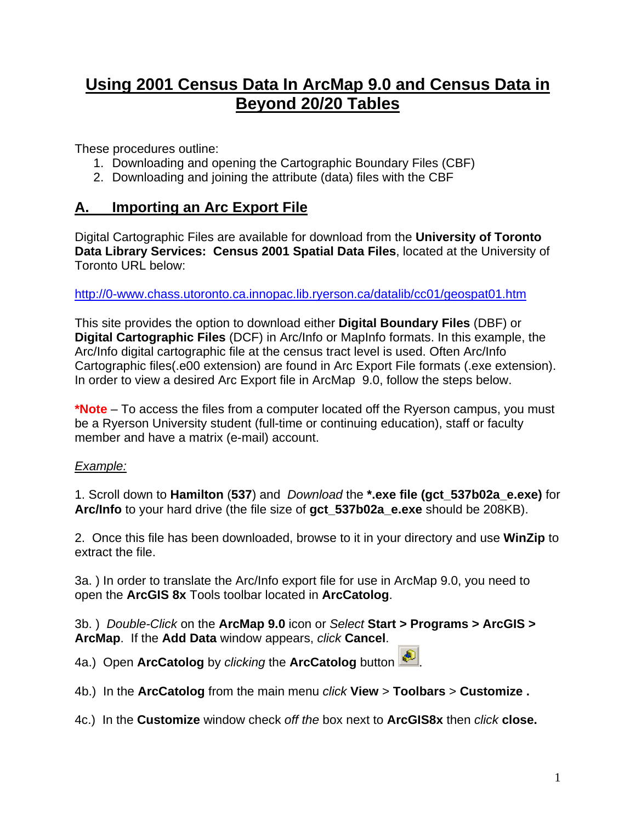# **Using 2001 Census Data In ArcMap 9.0 and Census Data in Beyond 20/20 Tables**

These procedures outline:

- 1. Downloading and opening the Cartographic Boundary Files (CBF)
- 2. Downloading and joining the attribute (data) files with the CBF

### **A. Importing an Arc Export File**

Digital Cartographic Files are available for download from the **University of Toronto Data Library Services: Census 2001 Spatial Data Files**, located at the University of Toronto URL below:

### <http://0-www.chass.utoronto.ca.innopac.lib.ryerson.ca/datalib/cc01/geospat01.htm>

This site provides the option to download either **Digital Boundary Files** (DBF) or **Digital Cartographic Files** (DCF) in Arc/Info or MapInfo formats. In this example, the Arc/Info digital cartographic file at the census tract level is used. Often Arc/Info Cartographic files(.e00 extension) are found in Arc Export File formats (.exe extension). In order to view a desired Arc Export file in ArcMap 9.0, follow the steps below.

**\*Note** – To access the files from a computer located off the Ryerson campus, you must be a Ryerson University student (full-time or continuing education), staff or faculty member and have a matrix (e-mail) account.

### *Example:*

1. Scroll down to **Hamilton** (**537**) and *Download* the **\*.exe file (gct\_537b02a\_e.exe)** for **Arc/Info** to your hard drive (the file size of **gct\_537b02a\_e.exe** should be 208KB).

2. Once this file has been downloaded, browse to it in your directory and use **WinZip** to extract the file.

3a. ) In order to translate the Arc/Info export file for use in ArcMap 9.0, you need to open the **ArcGIS 8x** Tools toolbar located in **ArcCatolog**.

3b. ) *Double-Click* on the **ArcMap 9.0** icon or *Select* **Start > Programs > ArcGIS > ArcMap**. If the **Add Data** window appears, *click* **Cancel**.

4a.) Open **ArcCatolog** by *clicking* the **ArcCatolog** button .

- 4b.) In the **ArcCatolog** from the main menu *click* **View** > **Toolbars** > **Customize .**
- 4c.) In the **Customize** window check *off the* box next to **ArcGIS8x** then *click* **close.**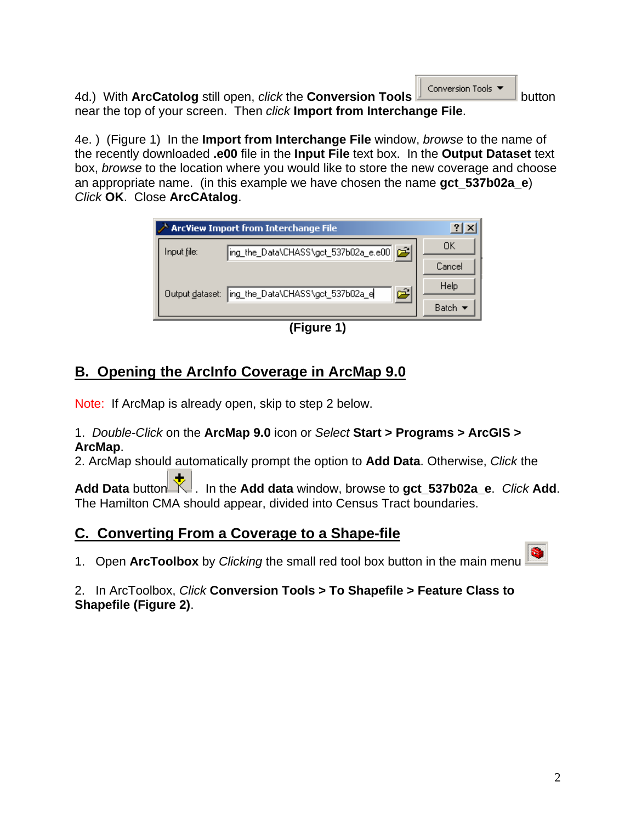4d.) With **ArcCatolog** still open, *click* the **Conversion Tools conversion Tools** near the top of your screen. Then *click* **Import from Interchange File**.

4e. ) (Figure 1) In the **Import from Interchange File** window, *browse* to the name of the recently downloaded **.e00** file in the **Input File** text box. In the **Output Dataset** text box, *browse* to the location where you would like to store the new coverage and choose an appropriate name. (in this example we have chosen the name **gct\_537b02a\_e**) *Click* **OK**. Close **ArcCAtalog**.

| $\nearrow$ ArcView Import from Interchange File             | $\mathbf{P}$ |
|-------------------------------------------------------------|--------------|
| ing_the_Data\CHASS\gct_537b02a_e.e00   p3  <br>Input file:  | OΚ           |
|                                                             | Cancel       |
| استق<br>ing_the_Data\CHASS\gct_537b02a_e<br>Output dataset: | Help         |
|                                                             | Batch 1      |

**(Figure 1)** 

# **B. Opening the ArcInfo Coverage in ArcMap 9.0**

Note: If ArcMap is already open, skip to step 2 below.

1. *Double-Click* on the **ArcMap 9.0** icon or *Select* **Start > Programs > ArcGIS > ArcMap**.

2. ArcMap should automatically prompt the option to **Add Data**. Otherwise, *Click* the

Add Data button **K**. In the Add data window, browse to gct\_537b02a\_e. *Click* Add. The Hamilton CMA should appear, divided into Census Tract boundaries.

## **C. Converting From a Coverage to a Shape-file**

1. Open **ArcToolbox** by *Clicking* the small red tool box button in the main menu

### 2. In ArcToolbox, *Click* **Conversion Tools > To Shapefile > Feature Class to Shapefile (Figure 2)**.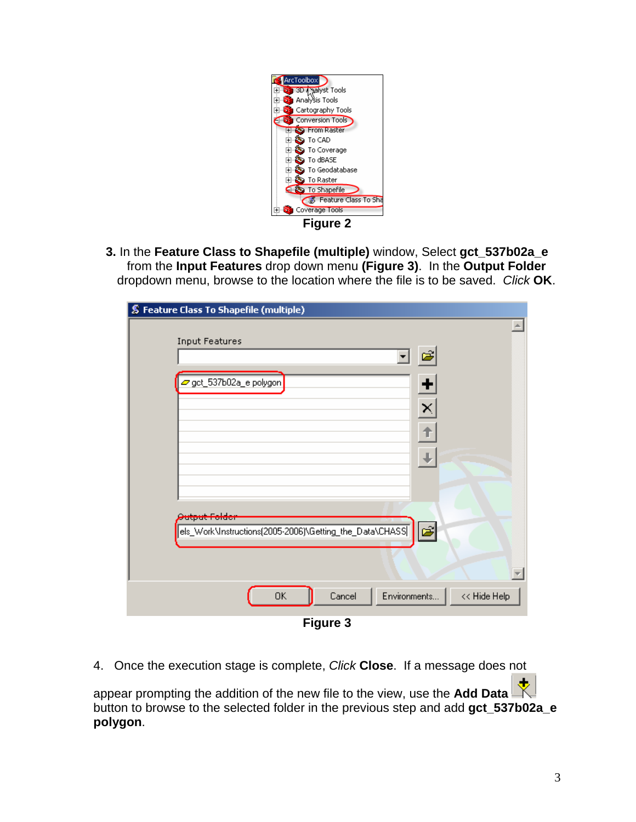

**3.** In the **Feature Class to Shapefile (multiple)** window, Select **gct\_537b02a\_e**  from the **Input Features** drop down menu **(Figure 3)**.In the **Output Folder** dropdown menu, browse to the location where the file is to be saved. *Click* **OK**.

| S Feature Class To Shapefile (multiple) |                                                         |                  |
|-----------------------------------------|---------------------------------------------------------|------------------|
| <b>Input Features</b>                   |                                                         | $\blacktriangle$ |
|                                         |                                                         | É                |
| get_537b02a_e.polygon                   |                                                         | ۰                |
|                                         |                                                         | $\times$         |
|                                         |                                                         |                  |
|                                         |                                                         |                  |
|                                         |                                                         |                  |
| Putput i older                          |                                                         |                  |
|                                         | els_Work\Instructions(2005-2006)\Getting_the_Data\CHASS | 园                |
|                                         |                                                         |                  |
| 0K                                      | Environments<br>Cancel                                  | << Hide Help     |
|                                         | --<br>$\bullet$                                         |                  |

**Figure 3** 

4. Once the execution stage is complete, *Click* **Close**. If a message does not appear prompting the addition of the new file to the view, use the **Add Data** button to browse to the selected folder in the previous step and add **gct\_537b02a\_e polygon**.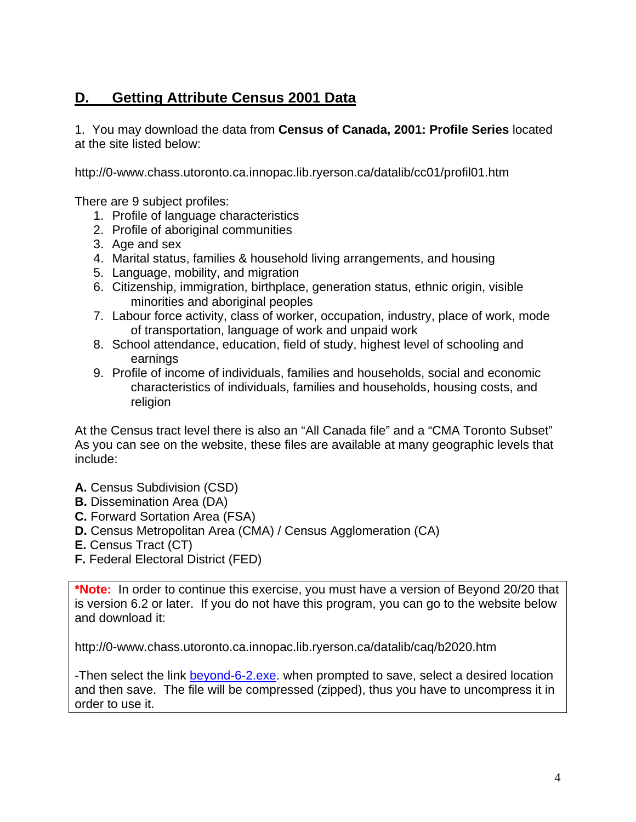## **D. Getting Attribute Census 2001 Data**

1. You may download the data from **Census of Canada, 2001: Profile Series** located at the site listed below:

http://0-www.chass.utoronto.ca.innopac.lib.ryerson.ca/datalib/cc01/profil01.htm

There are 9 subject profiles:

- 1. Profile of language characteristics
- 2. Profile of aboriginal communities
- 3. Age and sex
- 4. Marital status, families & household living arrangements, and housing
- 5. Language, mobility, and migration
- 6. Citizenship, immigration, birthplace, generation status, ethnic origin, visible minorities and aboriginal peoples
- 7. Labour force activity, class of worker, occupation, industry, place of work, mode of transportation, language of work and unpaid work
- 8. School attendance, education, field of study, highest level of schooling and earnings
- 9. Profile of income of individuals, families and households, social and economic characteristics of individuals, families and households, housing costs, and religion

At the Census tract level there is also an "All Canada file" and a "CMA Toronto Subset" As you can see on the website, these files are available at many geographic levels that include:

- **A.** Census Subdivision (CSD)
- **B.** Dissemination Area (DA)
- **C.** Forward Sortation Area (FSA)
- **D.** Census Metropolitan Area (CMA) / Census Agglomeration (CA)
- **E.** Census Tract (CT)
- **F.** Federal Electoral District (FED)

**\*Note:** In order to continue this exercise, you must have a version of Beyond 20/20 that is version 6.2 or later. If you do not have this program, you can go to the website below and download it:

http://0-www.chass.utoronto.ca.innopac.lib.ryerson.ca/datalib/caq/b2020.htm

-Then select the link [beyond-6-2.exe](http://prod.library.utoronto.ca:8090/datalib/datar/b2020/v6_2/beyond-6-2.exe). when prompted to save, select a desired location and then save. The file will be compressed (zipped), thus you have to uncompress it in order to use it.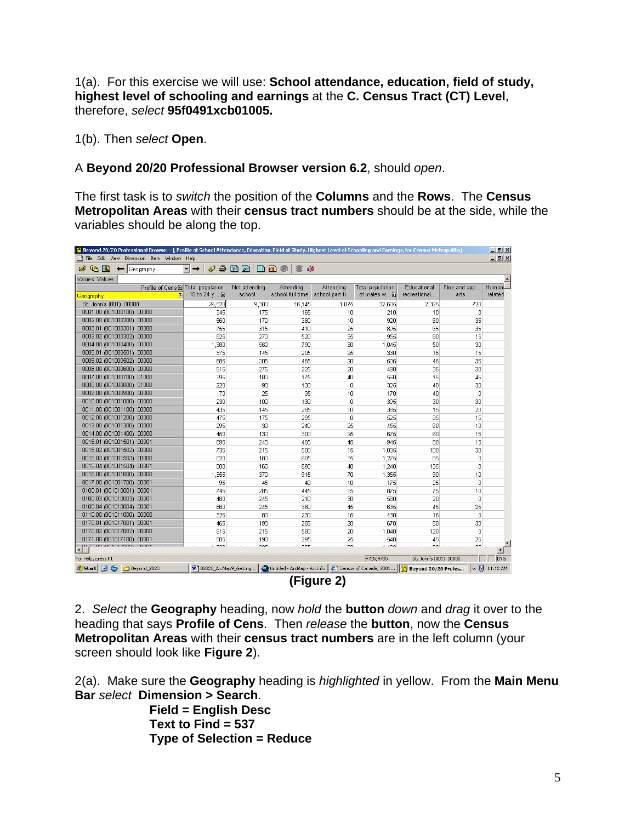1(a). For this exercise we will use: **School attendance, education, field of study, highest level of schooling and earnings** at the **C. Census Tract (CT) Level**, therefore, *select* **95f0491xcb01005.**

1(b). Then *select* **Open**.

A **Beyond 20/20 Professional Browser version 6.2**, should *open*.

The first task is to *switch* the position of the **Columns** and the **Rows**. The **Census Metropolitan Areas** with their **census tract numbers** should be at the side, while the variables should be along the top.

| [8] Beyond 20/20 Professional Browser - [ Profile of School Attendance, Education, Field of Study, Highest Level of Schooling and Earnings, for Census Metropolita] |                         |                       |                             |                 |                        |                        |                 | $-10x$                     |
|---------------------------------------------------------------------------------------------------------------------------------------------------------------------|-------------------------|-----------------------|-----------------------------|-----------------|------------------------|------------------------|-----------------|----------------------------|
| File Edit View Dimension Item Window Help                                                                                                                           |                         |                       |                             |                 |                        |                        |                 | $  $ $\theta$ $ $ $\times$ |
| $\mathbb{R}$<br>ĉ.<br>Geography                                                                                                                                     | 6)                      | 今曲曲<br><b>ED Kill</b> | â                           |                 |                        |                        |                 |                            |
| Values: Values                                                                                                                                                      |                         |                       |                             |                 |                        |                        |                 |                            |
| Profile of Cens E Total population                                                                                                                                  |                         | Not attending         | Attending                   | Attending       | Total population       | Educational            | Fine and app    | <b>Humani</b>              |
| 日<br><b>Geography</b>                                                                                                                                               | 15 to 24 y 图            | school                | school full time            | school part ti  | of males w             | .recreational          | arts            | related                    |
| St. John's (001) 00000                                                                                                                                              | 26,520                  | 9,300                 | 16,145                      | 1,075           | 32,605                 | 2,325                  | 720             |                            |
| 0001.00 (001000100) 00000                                                                                                                                           | 345                     | 175                   | 165                         | 10              | 210                    | 10                     | $\overline{0}$  |                            |
| 0002.00 (001000200) 00000                                                                                                                                           | 560                     | 170                   | 380                         | 10 <sup>1</sup> | 920                    | 60                     | 35              |                            |
| 0003.01 (001000301) 00000                                                                                                                                           | 755                     | 315                   | 410                         | 25              | 895                    | 65                     | 35              |                            |
| 0003.02 (001000302) 00000                                                                                                                                           | 825                     | 270                   | 520                         | 35              | 955                    | 80                     | 15              |                            |
| 0004.00 (001000400) 00000                                                                                                                                           | 1,380                   | 560                   | 790                         | 30              | 1,045                  | 50                     | 30              |                            |
| 0005.01 (001000501) 00000                                                                                                                                           | 375                     | 145                   | 205                         | 25              | 330                    | 15                     | 15              |                            |
| 0005.02 /001000502) 00000                                                                                                                                           | 685                     | 205                   | 455                         | 20              | 505                    | 45                     | 35              |                            |
| 0006.00 (001000600) 00000                                                                                                                                           | 515                     | 275                   | 225                         | 20 <sup>1</sup> | 490                    | 35                     | 30 <sup>1</sup> |                            |
| 0007.00 (001000700) 01000                                                                                                                                           | 395                     | 180                   | 175                         | 40              | 560                    | 15                     | 45              |                            |
| 0008.00 (001000800) 01000                                                                                                                                           | 220                     | 90                    | 130                         | $\mathbf 0$     | 325                    | 40                     | 30              |                            |
| 0009.00 (001000900) 00000                                                                                                                                           | 70                      | 25                    | 35                          | 10              | 170                    | 40                     | n               |                            |
| 0010.00 (001001000) 00000                                                                                                                                           | 230                     | 100                   | 130                         | $\Omega$        | 395                    | 30                     | 30              |                            |
| 0011.00 (001001100) 00000                                                                                                                                           | 435                     | 145                   | 285                         | 10 <sup>1</sup> | 385                    | 15                     | 20              |                            |
| 0012.00 (001001200) 00000                                                                                                                                           | 475                     | 175                   | 295                         | $\Omega$        | 525                    | 35                     | 15              |                            |
| 0013.00 (001001300) 00000                                                                                                                                           | 295                     | 30                    | 240                         | 25              | 455                    | 60                     | 10              |                            |
| 0014.00 (001001400) 00000                                                                                                                                           | 450                     | 130                   | 300                         | 25              | 675                    | 60                     | 15              |                            |
| 0015.01 (001001501) 00001                                                                                                                                           | 695                     | 245                   | 405                         | 45              | 945                    | 80                     | 15              |                            |
| 0015.02 (001001502) 00000                                                                                                                                           | 735                     | 215                   | 500                         | 15              | 1.035                  | 100                    | 30              |                            |
| 0015.03 (001001503) 00000                                                                                                                                           | 820                     | 180                   | 605                         | 35              | 1.275                  | 85                     | $\overline{0}$  |                            |
| 0015.04 (001001504) 00001                                                                                                                                           | 880                     | 160                   | 690                         | 40              | 1.240                  | 135                    | $\overline{0}$  |                            |
| 0016.00 (001001600) 00000                                                                                                                                           | 1,355                   | 370                   | 915                         | 70              | 1,355                  | 90                     | 10              |                            |
| 0017.00 (001001700) 00001                                                                                                                                           | 95                      | 45                    | 40                          | 10              | 175                    | 25                     | n               |                            |
| 0100.01 (001010001) 00001                                                                                                                                           | 745                     | 285                   | 445                         | 15              | 875                    | 75                     | 10              |                            |
| 0100.03 (001010003) 00001                                                                                                                                           | 480                     | 245                   | 210                         | 30              | 580                    | 20                     | $\overline{0}$  |                            |
| 0100.04 (001010004) 00001                                                                                                                                           | 660                     | 245                   | 360                         | 45              | 635                    | 45                     | 25              |                            |
| 0110.00 (001011000) 00000                                                                                                                                           | 325                     | 80                    | 230                         | 15              | 430                    | 15                     | $\Omega$        |                            |
| 0170.01 (001017001) 00001                                                                                                                                           | 465                     | 190                   | 255                         | 20              | 670                    | 50                     | 30              |                            |
| 0170.02 (001017002) 00000                                                                                                                                           | 815                     | 215                   | 580                         | 20              | 1,040                  | 120                    | $\Omega$        |                            |
| 0171.00 (001017100) 00001                                                                                                                                           | 505                     | 190                   | 295                         | 25              | 540                    | 45                     | 25              |                            |
| 0473.03.004047303\<br>$\left  \cdot \right $                                                                                                                        | 1.000                   | $\sim$                | one.                        | co.             | 4.400                  | $\sim$                 | or.             | $\blacktriangleright$      |
| For Help, press F1                                                                                                                                                  |                         |                       |                             |                 | 4785/4785              | St. John's (001) 00000 |                 | <b>ENG</b>                 |
| 06<br><b>B</b> Start<br>Beyond 2020                                                                                                                                 | B B2020 ArcMap9 Getting |                       | Untitled - ArcMap - ArcInfo |                 | Census of Canada, 2001 | Beyond 20/20 Profes    |                 | « <b>V</b> 11:12 AM        |
|                                                                                                                                                                     |                         |                       |                             |                 |                        |                        |                 |                            |



2. *Select* the **Geography** heading, now *hold* the **button** *down* and *drag* it over to the heading that says **Profile of Cens**. Then *release* the **button**, now the **Census Metropolitan Areas** with their **census tract numbers** are in the left column (your screen should look like **Figure 2**).

2(a). Make sure the **Geography** heading is *highlighted* in yellow. From the **Main Menu Bar** *select* **Dimension > Search**.

> **Field = English Desc Text to Find = 537 Type of Selection = Reduce**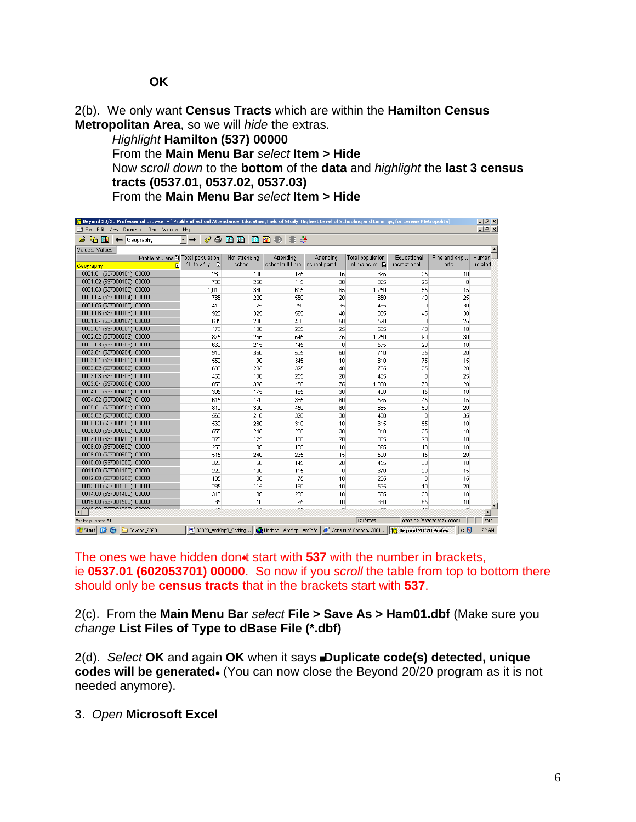2(b). We only want **Census Tracts** which are within the **Hamilton Census Metropolitan Area**, so we will *hide* the extras.

#### *Highlight* **Hamilton (537) 00000**

From the **Main Menu Bar** *select* **Item > Hide** Now *scroll down* to the **bottom** of the **data** and *highlight* the **last 3 census tracts (0537.01, 0537.02, 0537.03)** From the **Main Menu Bar** *select* **Item > Hide** 

| P Beyond 20/20 Professional Browser - [ Profile of School Attendance, Education, Field of Study, Highest Level of Schooling and Earnings, for Census Metropolita] |                         |                      |                            |                |                                                        |                                  |                           | $-1$ $\mathbb{F}$ $\times$ |
|-------------------------------------------------------------------------------------------------------------------------------------------------------------------|-------------------------|----------------------|----------------------------|----------------|--------------------------------------------------------|----------------------------------|---------------------------|----------------------------|
| File Edit View Dimension Item Window Help                                                                                                                         |                         |                      |                            |                |                                                        |                                  |                           | $-10$ $\times$             |
| $\bullet$<br>哂<br>- HN<br>Geography<br>$\leftarrow$                                                                                                               | €<br>6<br>$\rightarrow$ | 面面<br><b>En Rail</b> | SI a <mark>é</mark><br>-67 |                |                                                        |                                  |                           |                            |
| Values: Values                                                                                                                                                    |                         |                      |                            |                |                                                        |                                  |                           |                            |
| Profile of Cens D Total population                                                                                                                                |                         | Not attending        | Attending                  | Attending      | <b>Total population</b>                                | Educational                      | Fine and app              | Humani-                    |
| Ð<br><b>Geography</b>                                                                                                                                             | 15 to 24 y m            | school               | school full time           | school part ti | of males w                                             | . recreational                   | arts                      | related                    |
| 0001.01 (537000101)<br>00000                                                                                                                                      | 280                     | 100                  | 165                        | 15             | 365                                                    | 25                               | 10                        |                            |
| 0001.02 (537000102) 00000                                                                                                                                         | 700                     | 250                  | 415                        | 30             | 825                                                    | 25                               | 0                         |                            |
| 0001.03 (537000103) 00000                                                                                                                                         | 1,010                   | 330                  | 615                        | 65             | 1,250                                                  | 55                               | 15                        |                            |
| 0001.04 (537000104) 00000                                                                                                                                         | 785                     | 220                  | 550                        | 20             | 850                                                    | 40                               | 25                        |                            |
| 0001.05 (537000105) 00000                                                                                                                                         | 410                     | 125                  | 250                        | 35             | 485                                                    | $\Box$                           | 30                        |                            |
| 0001.06 (537000106) 00000                                                                                                                                         | 925                     | 325                  | 565                        | 40             | 835                                                    | 45                               | 30                        |                            |
| 0001.07 (537000107) 00000                                                                                                                                         | 685                     | 230                  | 400                        | 50             | 520                                                    | $\mathbf 0$                      | 25                        |                            |
| 0002.01 (537000201) 00000                                                                                                                                         | 470                     | 180                  | 265                        | 25             | 585                                                    | 40                               | 10                        |                            |
| 0002.02 (537000202) 00000                                                                                                                                         | 875                     | 255                  | 545                        | 75             | 1,250                                                  | 90                               | 30                        |                            |
| 0002.03 (537000203) 00000                                                                                                                                         | 660                     | 215                  | 445                        | $\Omega$       | 595                                                    | 20                               | 10                        |                            |
| 0002.04 (537000204) 00000                                                                                                                                         | 910                     | 350                  | 505                        | 60             | 710                                                    | 35                               | 20                        |                            |
| 0003.01 (537000301) 00000                                                                                                                                         | 550                     | 190                  | 345                        | 10             | 810                                                    | 75                               | 15                        |                            |
| 0003.02 (537000302) 00000                                                                                                                                         | 600                     | 235                  | 325                        | 40             | 705                                                    | 75                               | 20                        |                            |
| 0003.03 (537000303) 00000                                                                                                                                         | 465                     | 190                  | 255                        | 20             | 405                                                    | $\Omega$                         | 25                        |                            |
| 0003.04 (537000304) 00000                                                                                                                                         | 850                     | 325                  | 450                        | 75             | 1,080                                                  | 70                               | 20                        |                            |
| 0004.01 (537000401) 00000                                                                                                                                         | 395                     | 175                  | 185                        | 30             | 420                                                    | 15                               | 10                        |                            |
| 0004.02 (537000402) 01000                                                                                                                                         | 615                     | 170                  | 385                        | 60             | 565                                                    | 45                               | 15                        |                            |
| 0005.01 (537000501) 00000                                                                                                                                         | 810                     | 300                  | 450                        | 60             | 885                                                    | 50                               | 20                        |                            |
| 0005.02 (537000502) 00000                                                                                                                                         | 560                     | 210                  | 320                        | 30             | 480                                                    | $\mathbf 0$                      | 35                        |                            |
| 0005.03 (537000503) 00000                                                                                                                                         | 560                     | 230                  | 310                        | 10             | 615                                                    | 55                               | 10                        |                            |
| 0006.00 (537000600) 00000                                                                                                                                         | 555                     | 245                  | 280                        | 30             | 810                                                    | 25                               | 40                        |                            |
| 0007.00 (537000700) 00000                                                                                                                                         | 325                     | 125                  | 180                        | 20             | 365                                                    | 20                               | 10                        |                            |
| 0008.00 (537000800) 00000                                                                                                                                         | 255                     | 105                  | 135                        | 10             | 365                                                    | 10                               | 10                        |                            |
| 0009.00 (537000900) 00000                                                                                                                                         | 515                     | 240                  | 265                        | 15             | 500                                                    | 15                               | 20                        |                            |
| 0010.00 (537001000) 00000                                                                                                                                         | 320                     | 160                  | 145                        | 20             | 455                                                    | 30                               | 10                        |                            |
| 0011.00 (537001100) 00000                                                                                                                                         | 220                     | 100                  | 115                        | 0              | 370                                                    | 20                               | 15                        |                            |
| 0012.00 (537001200) 00000                                                                                                                                         | 185                     | 100                  | 75                         | 10             | 285                                                    | $\begin{array}{c} \n\end{array}$ | 15                        |                            |
| 0013.00 (537001300) 00000                                                                                                                                         | 285                     | 115                  | 160                        | 10             | 535                                                    | 10                               | 20                        |                            |
| 0014.00 (537001400) 00000                                                                                                                                         | 315                     | 105                  | 205                        | 10             | 535                                                    | 30                               | 10                        |                            |
| 0015.00 (537001500) 00000                                                                                                                                         | 85                      | 10                   | 65                         | 10             | 380                                                    | 55                               | 10 <sup>1</sup>           |                            |
| 0040.00.4507004000\_00000                                                                                                                                         | хe.                     | $\lambda =$          | $\sim$                     | $\sim$         | co.                                                    | $\overline{a}$                   | $\sim$                    | $\blacktriangleright$      |
| For Help, press F1                                                                                                                                                |                         |                      |                            |                | 171/4785                                               |                                  | 0303.02 (537030302) 00001 | <b>ENG</b>                 |
| <b>BS</b><br>Beyond_2020<br>d   Start                                                                                                                             | 网1B2020_ArcMap9_Getting |                      |                            |                | Untitled - ArcMap - ArcInfo   @ Census of Canada, 2001 | Beyond 20/20 Profes              |                           | « <b>V</b> 11:22 AM        |

The ones we have hidden don<sup>t</sup> start with 537 with the number in brackets, ie **0537.01 (602053701) 00000**. So now if you *scroll* the table from top to bottom there should only be **census tracts** that in the brackets start with **537**.

2(c). From the **Main Menu Bar** *select* **File > Save As > Ham01.dbf** (Make sure you *change* **List Files of Type to dBase File (\*.dbf)** 

2(d). *Select* OK and again OK when it says Duplicate code(s) detected, unique codes will be generated. (You can now close the Beyond 20/20 program as it is not needed anymore).

3. *Open* **Microsoft Excel**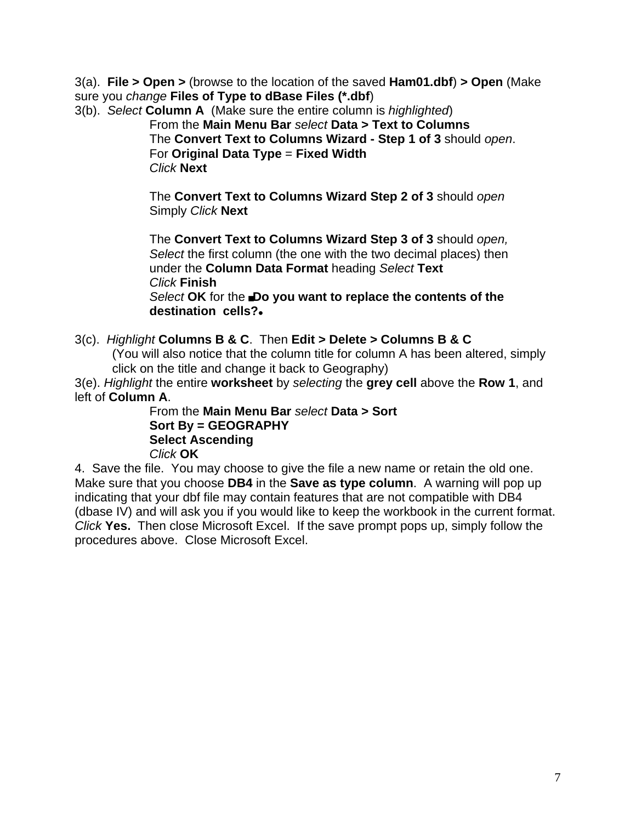3(a). **File > Open >** (browse to the location of the saved **Ham01.dbf**) **> Open** (Make sure you *change* **Files of Type to dBase Files (\*.dbf**)

3(b). *Select* **Column A** (Make sure the entire column is *highlighted*)

From the **Main Menu Bar** *select* **Data > Text to Columns** The **Convert Text to Columns Wizard - Step 1 of 3** should *open*. For **Original Data Type** = **Fixed Width** *Click* **Next**

The **Convert Text to Columns Wizard Step 2 of 3** should *open* Simply *Click* **Next**

The **Convert Text to Columns Wizard Step 3 of 3** should *open, Select* the first column (the one with the two decimal places) then under the **Column Data Format** heading *Select* **Text** *Click* **Finish Select OK** for the **Do you want to replace the contents of the destination cells?**@

3(c). *Highlight* **Columns B & C**. Then **Edit > Delete > Columns B & C** (You will also notice that the column title for column A has been altered, simply click on the title and change it back to Geography)

3(e). *Highlight* the entire **worksheet** by *selecting* the **grey cell** above the **Row 1**, and left of **Column A**.

From the **Main Menu Bar** *select* **Data > Sort Sort By = GEOGRAPHY Select Ascending**  *Click* **OK** 

4. Save the file. You may choose to give the file a new name or retain the old one. Make sure that you choose **DB4** in the **Save as type column**. A warning will pop up indicating that your dbf file may contain features that are not compatible with DB4 (dbase IV) and will ask you if you would like to keep the workbook in the current format. *Click* **Yes.** Then close Microsoft Excel. If the save prompt pops up, simply follow the procedures above. Close Microsoft Excel.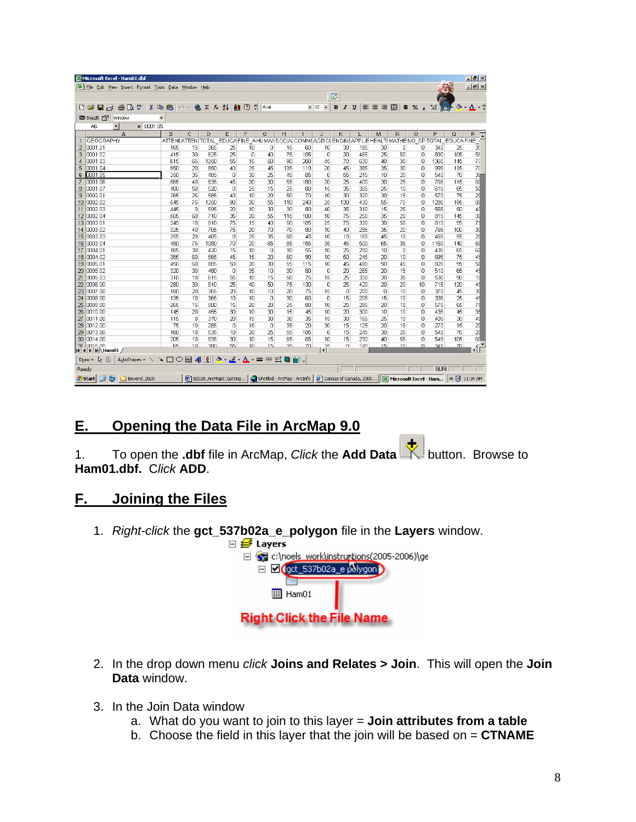| Microsoft Excel - Ham01.dbf                                                                                                             |        |                |                 |                                    |                |                |     |                                                           |          |                            |                |     |                   |                                                  |                |     | $ P$ $\times$            |
|-----------------------------------------------------------------------------------------------------------------------------------------|--------|----------------|-----------------|------------------------------------|----------------|----------------|-----|-----------------------------------------------------------|----------|----------------------------|----------------|-----|-------------------|--------------------------------------------------|----------------|-----|--------------------------|
| File Edit View Insert Format Tools Data Window Help                                                                                     |        |                |                 |                                    |                |                |     |                                                           |          |                            |                |     |                   |                                                  |                |     | $- p  \times$            |
|                                                                                                                                         |        |                |                 |                                    |                |                |     |                                                           |          | 霠                          |                |     |                   |                                                  |                |     |                          |
| $\bigoplus$ Q $\mathbb{C}$<br>¥,<br>日日<br>e <sub>b</sub><br>œ<br>n                                                                      | 隐      | $K$ ) $-$      | $2 E \approx 2$ |                                    | 1007           | Arial          |     | $-10$                                                     |          | $\bf{B}$<br>$\overline{I}$ | U              | 事事者 | 畐<br>$\mathbf{B}$ | %                                                | $^{+.0}_{-00}$ | ి   | $A \cdot$ "<br>$\bullet$ |
| <b>CO</b> SnagIt Par<br>Window                                                                                                          |        |                |                 |                                    |                |                |     |                                                           |          |                            |                |     |                   |                                                  |                |     |                          |
| $= 0001.05$<br>A6<br>▾                                                                                                                  |        |                |                 |                                    |                |                |     |                                                           |          |                            |                |     |                   |                                                  |                |     |                          |
| A                                                                                                                                       | B      | C              | D.              | E                                  | F              | G              | H   |                                                           | J.       | K                          |                | M   | N                 | $\Omega$                                         | P              | Q   | R.                       |
| <b>GEOGRAPHY</b>                                                                                                                        |        |                |                 |                                    |                |                |     | ATTENI ATTENI TOTAL EDUCA FINE A HUMAN SOCIAL COMMEAGRICU |          |                            |                |     |                   | ENGINEAPPLIEHEALTIMATHENO SPITOTAL EDUCAFINE     |                |     |                          |
| $\overline{2}$<br>0001.01                                                                                                               | 165    | 15             | 365             | 25                                 | 10             | 0              | 15  | 60                                                        | 10       | 30                         | 185            | 30  | ٥                 | n                                                | 340            | 25  | 35                       |
| 3<br>0001.02                                                                                                                            | 415    | 30             | 825             | 25                                 | $\Box$         | 4 <sub>0</sub> | 75  | 105                                                       | $\Omega$ | 30                         | 465            | 25  | 50                | $\Box$                                           | 890            | 105 | 55                       |
| 0001.03<br>$\overline{4}$                                                                                                               | 615    | 65             | 1250            | 55                                 | 15             | 60             | 90  | 200                                                       | 45       | 70                         | 630            | 40  | 30                | 0                                                | 1365           | 145 | 70                       |
| 5<br>0001.04                                                                                                                            | 550    | 20             | 850             | 4 <sub>0</sub>                     | 25             | 45             | 135 | 11 <sub>0</sub>                                           | 20       | 45                         | 385            | 35  | 30                | $\Omega$                                         | 995            | 115 | 70                       |
| 0001.05<br>6                                                                                                                            | 250    | 35             | 485             | 0                                  | 30             | 25             | 45  | 85                                                        | 0        | 55                         | 215            | 10  | 20                | 0                                                | 540            | 70  | 30                       |
| lann1 a6                                                                                                                                | 565    | 40             | 835             | 45                                 | 30             | 30             | 55  | 180                                                       | 20       | 25                         | 4 <sub>0</sub> | 30  | 25                | $\Omega$                                         | 765            | 115 | 60                       |
| 0001.07<br>8                                                                                                                            | 400    | 50             | 520             | 0                                  | 25             | 15             | 25  | 80                                                        | 15       | 35                         | 305            | 25  | 10                | $\Box$                                           | 615            | 85  | 50                       |
| 0002.01<br>9                                                                                                                            | 265    | 25             | 585             | 40                                 | 10             | 20             | 50  | 70                                                        | 10       | 30                         | 320            | 30  | 15                | 0                                                | 570            | 75  | 20                       |
| 0002.02<br>10                                                                                                                           | 545    | 75             | 1250            | 90                                 | 30             | 55             | 110 | 240                                                       | 25       | 130                        | 430            | 55  | 75                | Ω                                                | 1285           | 195 | 80                       |
| 0002.03<br>11                                                                                                                           | 445    | 0              | 595             | 20                                 | 10             | 30             | 30  | 80                                                        | 40       | 35                         | 310            | 15  | 25                | 0                                                | 555            | 50  | 40                       |
| 12<br>0002.04                                                                                                                           | 505    | 60             | 710             | 35                                 | 20             | 55             | 115 | 100                                                       | 10       | 75                         | 250            | 35  | 20                | $\Omega$                                         | 815            | 145 | 30                       |
| 13<br>0003.01                                                                                                                           | 345    | 10             | 810             | 75                                 | 15             | 40             | 60  | 105                                                       | 25       | 75                         | 330            | 30  | 50                | 0                                                | 815            | 95  | 75                       |
| 0003.02<br>14                                                                                                                           | 325    | 40             | 705             | 75                                 | 20             | 70             | 70  | 80                                                        | 10       | 40                         | 285            | 35  | 20                | 0                                                | 765            | 100 | 3d                       |
| 0003.03<br>15                                                                                                                           | 255    | 20             | 405             | $\Box$                             | 25             | 35             | 60  | 45                                                        | 10       | 10                         | 165            | 45  | 10                | $\Box$                                           | 465            | 55  | 20                       |
| 0003.04<br>16                                                                                                                           | 450    | 75             | 1080            | 70                                 | 20             | 65             | 85  | 155                                                       | 35       | 45                         | 500            | 65  | 35                | $\mathbf{0}$                                     | 1160           | 140 | 60                       |
| 0004.01<br>17                                                                                                                           | 185    | 30             | 420             | 15                                 | 10             | $\Omega$       | 10  | 55                                                        | 10       | 25                         | 290            | 10  | $\Omega$          | $\mathbf 0$                                      | 435            | 65  | 60                       |
| 0004.02<br>18                                                                                                                           | 385    | 60             | 565             | 45                                 | 15             | 20             | 60  | 90                                                        | 10       | 50                         | 245            | 20  | 10                | 0                                                | 695            | 75  | 45                       |
| 0005.01<br>19                                                                                                                           | 450    | 60             | 885             | 50                                 | 20             | 30             | 55  | 115                                                       | 10       | 45                         | 480            | 50  | 45                | 0                                                | 820            | 95  | 50                       |
| 20<br>0005.02                                                                                                                           | 320    | 30             | 480             | 0                                  | 35             | 10             | 30  | 80                                                        | $\Omega$ | 20                         | 265            | 20  | 15                | 0                                                | 510            | 65  | 45                       |
| 0005.03<br>21                                                                                                                           | 310    | 10             | 615             | 55                                 | 10             | 15             | 50  | 75                                                        | 15       | 25                         | 330            | 20  | 30                | $\cap$                                           | 530            | 90  | 10                       |
| 22<br>10006.00                                                                                                                          | 280    | 30             | 810             | 25                                 | 40             | 50             | 75  | 130                                                       | 0        | 25                         | 420            | 20  | 20                | 10                                               | 715            | 120 | 45                       |
| 0007.00<br>23                                                                                                                           | 180    | 20             | 365             | 20                                 | 10             | 10             | 20  | 75                                                        | 15       | $\mathbf 0$                | 200            | 0   | 1 <sub>0</sub>    | $\mathbf{0}$                                     | 370            | 45  | 30                       |
| 24<br>looos oo                                                                                                                          | 135    | 10             | 365             | 10                                 | 10             | Ω              | 30  | 60                                                        | $\Box$   | 15                         | 205            | 15  | 1 <sup>0</sup>    | $\Box$                                           | 335            | 25  | 45                       |
| 25<br>0009.00                                                                                                                           | 265    | 15             | 500             | 15                                 | 20             | 20             | 25  | 80                                                        | 10       | 25                         | 285            | 20  | 1 <sup>n</sup>    | 0                                                | 575            | 65  | 75                       |
| 0010.00<br>26                                                                                                                           | 145    | 20             | 455             | 30                                 | 10             | 30             | 15  | 45                                                        | 10       | 20                         | 300            | 10  | 10                | 0                                                | 435            | 45  | 34                       |
| 27<br>0011.00                                                                                                                           | 115    | 0              | 370             | 20                                 | 15             | 30             | 30  | 35                                                        | 15       | 30                         | 165            | 25  | 10                | $\Box$                                           | 405            | 30  | 40                       |
| 28<br>0012.00                                                                                                                           | 75     | 10             | 285             | $\mathbf 0$                        | 15             | 0              | 35  | 20                                                        | 30       | 15                         | 125            | 20  | 15                | 0                                                | 270            | 15  | 20                       |
| 29<br>0013.00                                                                                                                           | 160    | 10             | 535             | 10                                 | 20             | 25             | 55  | 105                                                       | $\Box$   | 15                         | 245            | 30  | 20                | 0                                                | 540            | 70  | 20                       |
| 10014.00<br>30                                                                                                                          | 205    | 10             | 535             | 30                                 | 10             | 15             | 65  | 65                                                        | 10       | 15                         | 230            | 40  | 55                | 0                                                | 545            | 105 | 60                       |
| 31 0015 00                                                                                                                              | 65     | 1 <sub>0</sub> | 380             | 55.                                | 1 <sub>0</sub> | 15             | 35  | 70                                                        | 25       | $\Omega$                   | 140            | 15  | 15                | n.                                               | 345            | 70  | $\frac{4}{\sqrt{2}}$     |
| $\blacksquare$<br>$\vert$ ( $\vert$ ) $\vert$ ) $\vert$ $\vert$ Ham01 $\vert$<br>$\delta \cdot \mathcal{I} \cdot A \cdot \equiv \equiv$ |        |                |                 |                                    |                |                |     |                                                           |          |                            |                |     |                   |                                                  |                |     |                          |
| AutoShapes $\sim$ $\searrow$<br>R<br>Draw -<br>$\mathbb{C}$                                                                             | $\Box$ | 40             |                 |                                    |                |                | 己■  | $\blacksquare$                                            |          |                            |                |     |                   |                                                  |                |     |                          |
| Ready                                                                                                                                   |        |                |                 |                                    |                |                |     |                                                           |          |                            |                |     |                   |                                                  | <b>NUM</b>     |     |                          |
| ø<br>$\bullet$<br><b>d'Istart</b><br>Beyond 2020                                                                                        |        |                |                 | <b>图   B2020_ArcMap9_Getting  </b> |                |                |     | Untitled - ArcMap - ArcInfo                               |          |                            |                |     |                   | Census of Canada, 2001   X Microsoft Excel - Ham |                |     | «   11:34 AM             |

## **E. Opening the Data File in ArcMap 9.0**

1. To open the **.dbf** file in ArcMap, *Click* the **Add Data** button. Browse to **Ham01.dbf.** C*lick* **ADD**.

### **F. Joining the Files**

1. *Right-click* the **gct\_537b02a\_e\_polygon** file in the **Layers** window.



- 2. In the drop down menu *click* **Joins and Relates > Join**. This will open the **Join Data** window.
- 3. In the Join Data window
	- a. What do you want to join to this layer = **Join attributes from a table**
	- b. Choose the field in this layer that the join will be based on = **CTNAME**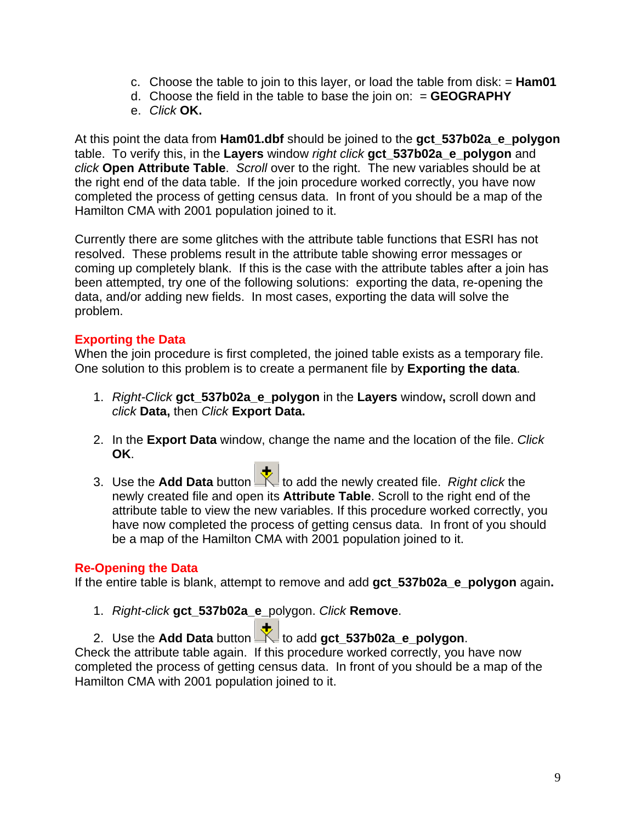- c. Choose the table to join to this layer, or load the table from disk: = **Ham01**
- d. Choose the field in the table to base the join on: = **GEOGRAPHY**
- e. *Click* **OK.**

At this point the data from **Ham01.dbf** should be joined to the **gct\_537b02a\_e\_polygon**  table. To verify this, in the **Layers** window *right click* **gct\_537b02a\_e\_polygon** and *click* **Open Attribute Table**. *Scroll* over to the right. The new variables should be at the right end of the data table. If the join procedure worked correctly, you have now completed the process of getting census data. In front of you should be a map of the Hamilton CMA with 2001 population joined to it.

Currently there are some glitches with the attribute table functions that ESRI has not resolved. These problems result in the attribute table showing error messages or coming up completely blank. If this is the case with the attribute tables after a join has been attempted, try one of the following solutions: exporting the data, re-opening the data, and/or adding new fields. In most cases, exporting the data will solve the problem.

#### **Exporting the Data**

When the join procedure is first completed, the joined table exists as a temporary file. One solution to this problem is to create a permanent file by **Exporting the data**.

- 1. *Right-Click* **gct\_537b02a\_e\_polygon** in the **Layers** window**,** scroll down and *click* **Data,** then *Click* **Export Data.**
- 2. In the **Export Data** window, change the name and the location of the file. *Click* **OK**.
- 3. Use the **Add Data** button **the set of add the newly created file.** *Right click* the newly created file and open its **Attribute Table**. Scroll to the right end of the attribute table to view the new variables. If this procedure worked correctly, you have now completed the process of getting census data. In front of you should be a map of the Hamilton CMA with 2001 population joined to it.

#### **Re-Opening the Data**

If the entire table is blank, attempt to remove and add **gct\_537b02a\_e\_polygon** again**.** 

1. *Right-click* **gct\_537b02a\_e\_**polygon. *Click* **Remove**.

2. Use the **Add Data** button to add **gct\_537b02a\_e\_polygon**. Check the attribute table again. If this procedure worked correctly, you have now completed the process of getting census data. In front of you should be a map of the Hamilton CMA with 2001 population joined to it.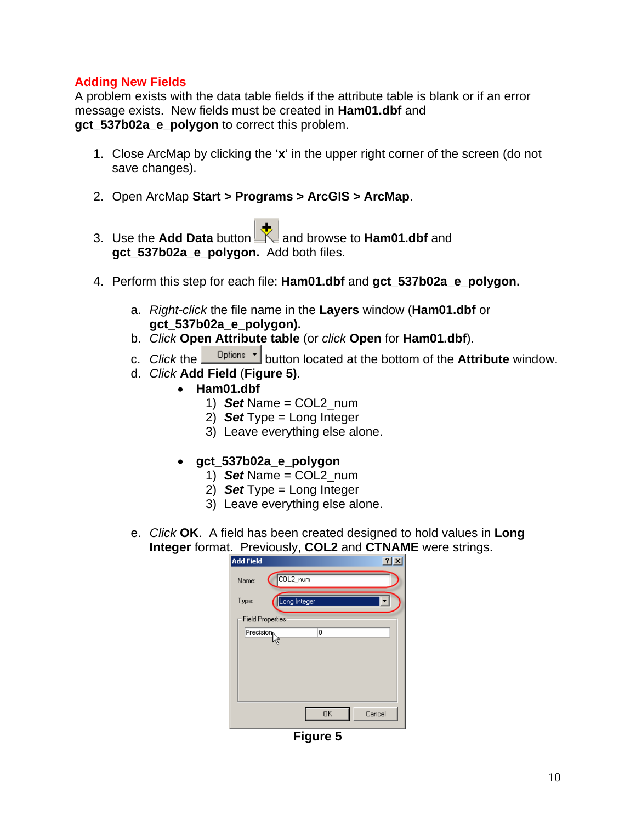### **Adding New Fields**

A problem exists with the data table fields if the attribute table is blank or if an error message exists. New fields must be created in **Ham01.dbf** and **gct\_537b02a\_e\_polygon** to correct this problem.

- 1. Close ArcMap by clicking the '**x**' in the upper right corner of the screen (do not save changes).
- 2. Open ArcMap **Start > Programs > ArcGIS > ArcMap**.
	-
- 3. Use the **Add Data** button and browse to **Ham01.dbf** and **gct\_537b02a\_e\_polygon.** Add both files.
- 4. Perform this step for each file: **Ham01.dbf** and **gct\_537b02a\_e\_polygon.**
	- a. *Right-click* the file name in the **Layers** window (**Ham01.dbf** or **gct\_537b02a\_e\_polygon).**
	- b. *Click* **Open Attribute table** (or *click* **Open** for **Ham01.dbf**).
	- c. *Click* the **D**utton located at the bottom of the **Attribute** window.
	- d. *Click* **Add Field** (**Figure 5)**.
		- **Ham01.dbf**
			- 1) *Set* Name = COL2\_num
			- 2) *Set* Type = Long Integer
			- 3) Leave everything else alone.
			- **gct\_537b02a\_e\_polygon**
				- 1) *Set* Name = COL2\_num
				- 2) *Set* Type = Long Integer
				- 3) Leave everything else alone.
	- e. *Click* **OK**. A field has been created designed to hold values in **Long Integer** format. Previously, **COL2** and **CTNAME** were strings.

| <b>Add Field</b> |                         | $\overline{?}$<br>xl |
|------------------|-------------------------|----------------------|
| Name:            | COL2_num                |                      |
| Type:            | Long Integer            |                      |
|                  | <b>Field Properties</b> |                      |
| Precision        | 0                       |                      |
|                  |                         |                      |
|                  |                         |                      |
|                  |                         |                      |
|                  |                         |                      |
|                  |                         |                      |
|                  | 0K<br>Cancel            |                      |

**Figure 5**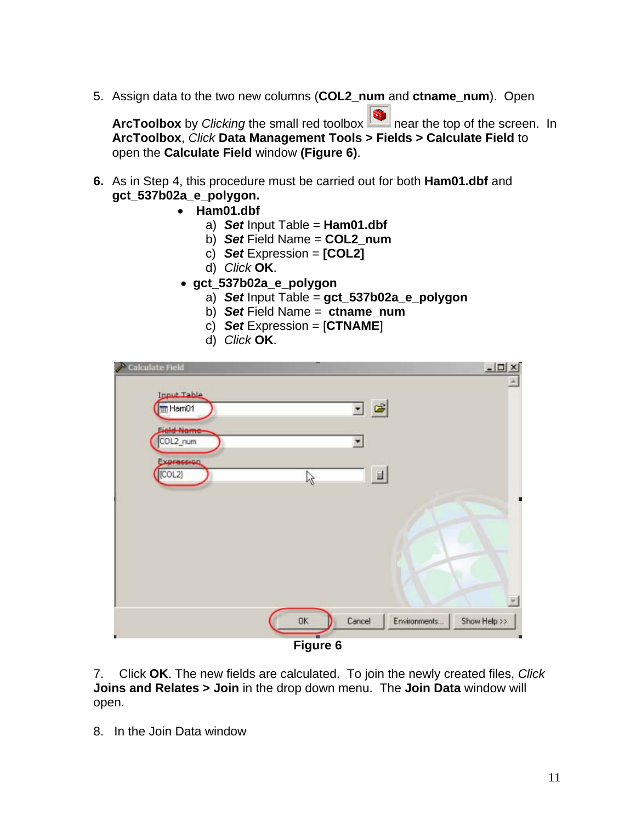5. Assign data to the two new columns (**COL2\_num** and **ctname\_num**). Open

**ArcToolbox** by *Clicking* the small red toolbox near the top of the screen. In **ArcToolbox**, *Click* **Data Management Tools > Fields > Calculate Field** to open the **Calculate Field** window **(Figure 6)**.

- **6.** As in Step 4, this procedure must be carried out for both **Ham01.dbf** and **gct\_537b02a\_e\_polygon.** 
	- **Ham01.dbf**
		- a) *Set* Input Table = **Ham01.dbf**
		- b) *Set* Field Name = **COL2\_num**
		- c) *Set* Expression = **[COL2]**
		- d) *Click* **OK**.
	- **gct\_537b02a\_e\_polygon**
		- a) *Set* Input Table = **gct\_537b02a\_e\_polygon**
		- b) *Set* Field Name = **ctname\_num**
		- c) *Set* Expression = [**CTNAME**]
		- d) *Click* **OK**.

| <b>Calculate Field</b>      |          |                        | $ \Box$ $\times$ |
|-----------------------------|----------|------------------------|------------------|
| <b>Ipput Table</b><br>Ham01 |          | 回回                     | $\blacktriangle$ |
| <b>Field Name</b>           |          |                        |                  |
| COL2_num<br>Expression      |          | ٠                      |                  |
| [COL2]                      | で        | 目                      |                  |
|                             |          |                        |                  |
|                             |          |                        |                  |
|                             |          |                        |                  |
|                             |          |                        |                  |
|                             | OK.      | Environments<br>Cancel | Show Help >>     |
|                             |          |                        |                  |
|                             | Figure 6 |                        |                  |

7. Click **OK**. The new fields are calculated. To join the newly created files, *Click*  **Joins and Relates > Join** in the drop down menu.The **Join Data** window will open.

8. In the Join Data window